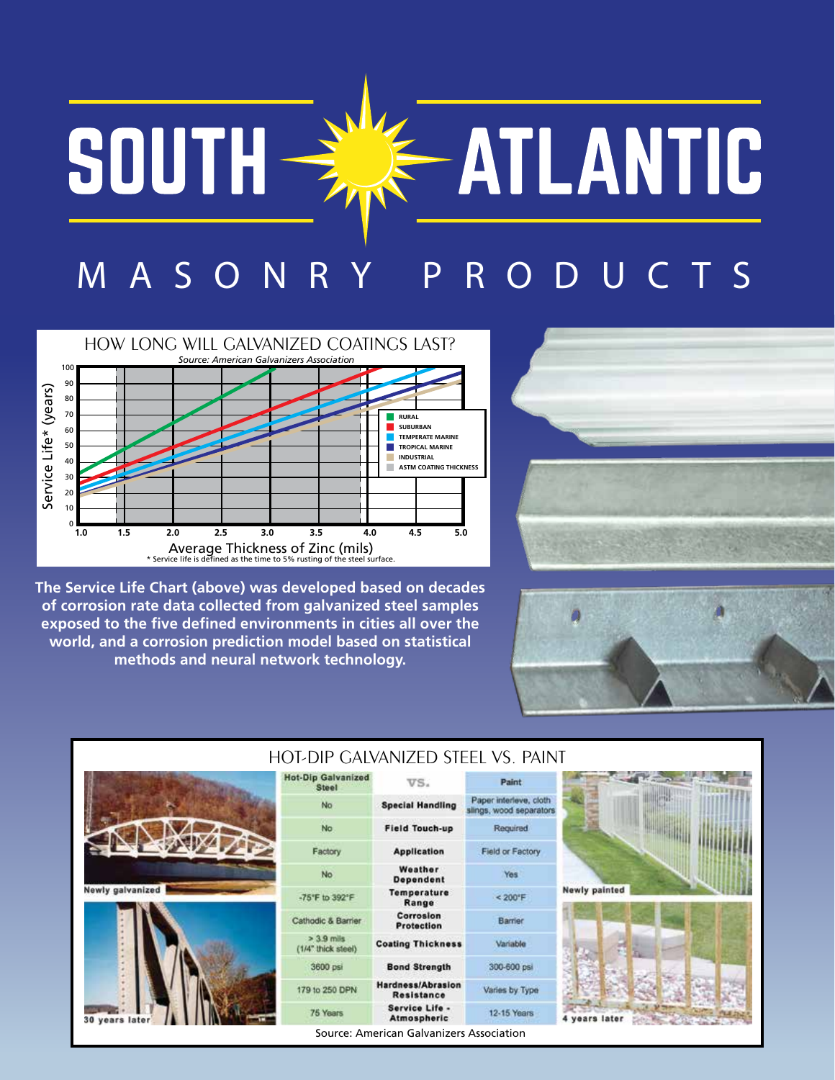## -ATLANTIC SOUTH-H MASONRY PR O DUC T S



**The Service Life Chart (above) was developed based on decades of corrosion rate data collected from galvanized steel samples exposed to the five defined environments in cities all over the world, and a corrosion prediction model based on statistical methods and neural network technology.** 





| HOT-DIP GALVANIZED STEEL VS. PAINT |                                           |                                          |                                                   |                      |  |  |
|------------------------------------|-------------------------------------------|------------------------------------------|---------------------------------------------------|----------------------|--|--|
|                                    | <b>Hot-Dip Galvanized</b><br><b>Steel</b> | VS.                                      | Paint.                                            |                      |  |  |
|                                    | No                                        | <b>Special Handling</b>                  | Paper interleve, cloth<br>slings, wood separators |                      |  |  |
|                                    | <b>No</b>                                 | <b>Field Touch-up</b>                    | Required                                          |                      |  |  |
|                                    | Factory.                                  | <b>Application</b>                       | Field or Factory                                  |                      |  |  |
|                                    | <b>No</b>                                 | Weather<br><b>Dependent</b>              | Yes                                               |                      |  |  |
| <b>Newly galvanized</b>            | -75°F to 392°F                            | <b>Temperature</b><br>Range              | $< 200$ <sup>*</sup> F                            | <b>Newly painted</b> |  |  |
|                                    | Cathodic & Barrier                        | Corrosion<br><b>Protection</b>           | Barrier                                           |                      |  |  |
|                                    | $> 3.9$ mils<br>(1/4" thick steel)        | <b>Coating Thickness</b>                 | Variable                                          |                      |  |  |
| 30 years later                     | 3600 psi                                  | <b>Bond Strength</b>                     | 300-600 psi                                       |                      |  |  |
|                                    | 179 to 250 DPN                            | Hardness/Abrasion<br>Resistance          | Varies by Type                                    |                      |  |  |
|                                    | 75 Years                                  | Service Life -<br>Atmospheric            | 12-15 Years                                       | 4 years later        |  |  |
|                                    |                                           | Source: American Galvanizers Association |                                                   |                      |  |  |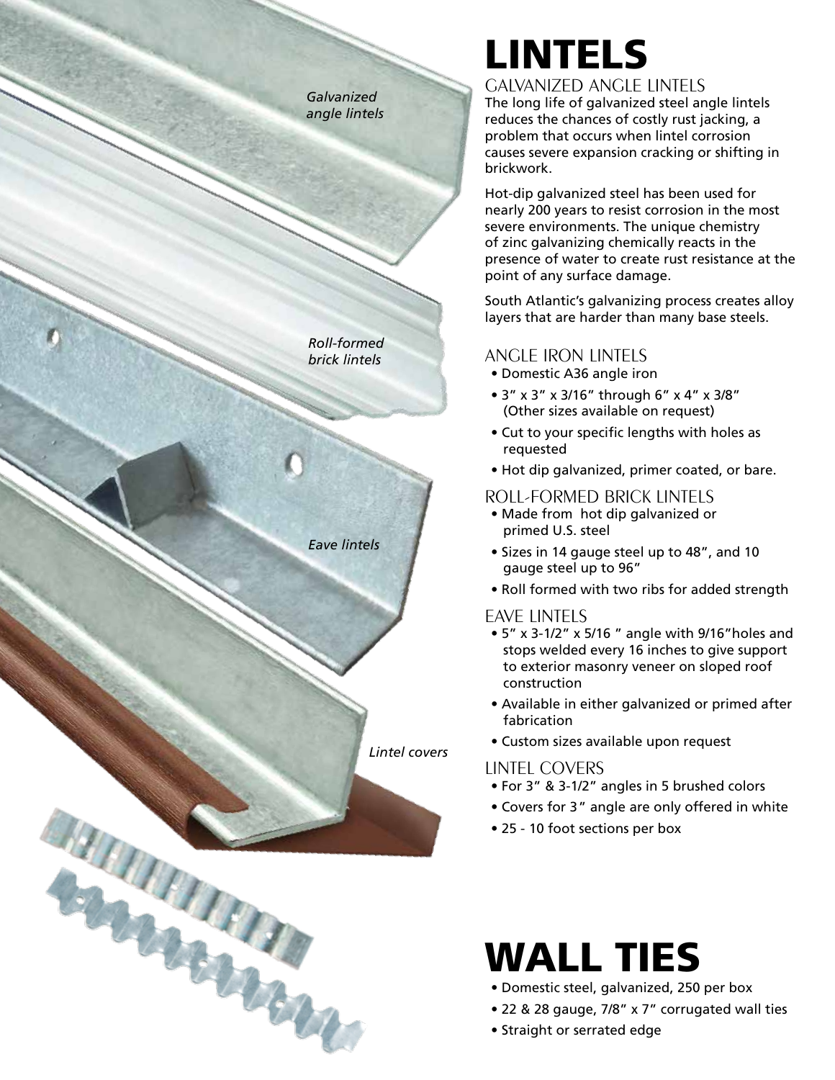*Galvanized angle lintels*

*Roll-formed brick lintels*

*Eave lintels*

HARRISON

*Lintel covers*

# LINTELS

#### GALVANIZED ANGLE LINTELS

The long life of galvanized steel angle lintels reduces the chances of costly rust jacking, a problem that occurs when lintel corrosion causes severe expansion cracking or shifting in brickwork.

Hot-dip galvanized steel has been used for nearly 200 years to resist corrosion in the most severe environments. The unique chemistry of zinc galvanizing chemically reacts in the presence of water to create rust resistance at the point of any surface damage.

South Atlantic's galvanizing process creates alloy layers that are harder than many base steels.

#### ANGLE IRON LINTELS

- Domestic A36 angle iron
- 3" x 3" x 3/16" through 6" x 4" x 3/8" (Other sizes available on request)
- Cut to your specific lengths with holes as requested
- Hot dip galvanized, primer coated, or bare.

#### ROLL-FORMED BRICK LINTELS

- Made from hot dip galvanized or primed U.S. steel
- Sizes in 14 gauge steel up to 48", and 10 gauge steel up to 96"
- Roll formed with two ribs for added strength

#### EAVE LINTELS

- 5" x 3-1/2" x 5/16 " angle with 9/16"holes and stops welded every 16 inches to give support to exterior masonry veneer on sloped roof construction
- Available in either galvanized or primed after fabrication
- Custom sizes available upon request

#### LINTEL COVERS

- For 3" & 3-1/2" angles in 5 brushed colors
- Covers for 3 " angle are only offered in white
- 25 10 foot sections per box

## WALL TIES

- Domestic steel, galvanized, 250 per box
- 22 & 28 gauge, 7/8" x 7" corrugated wall ties
- Straight or serrated edge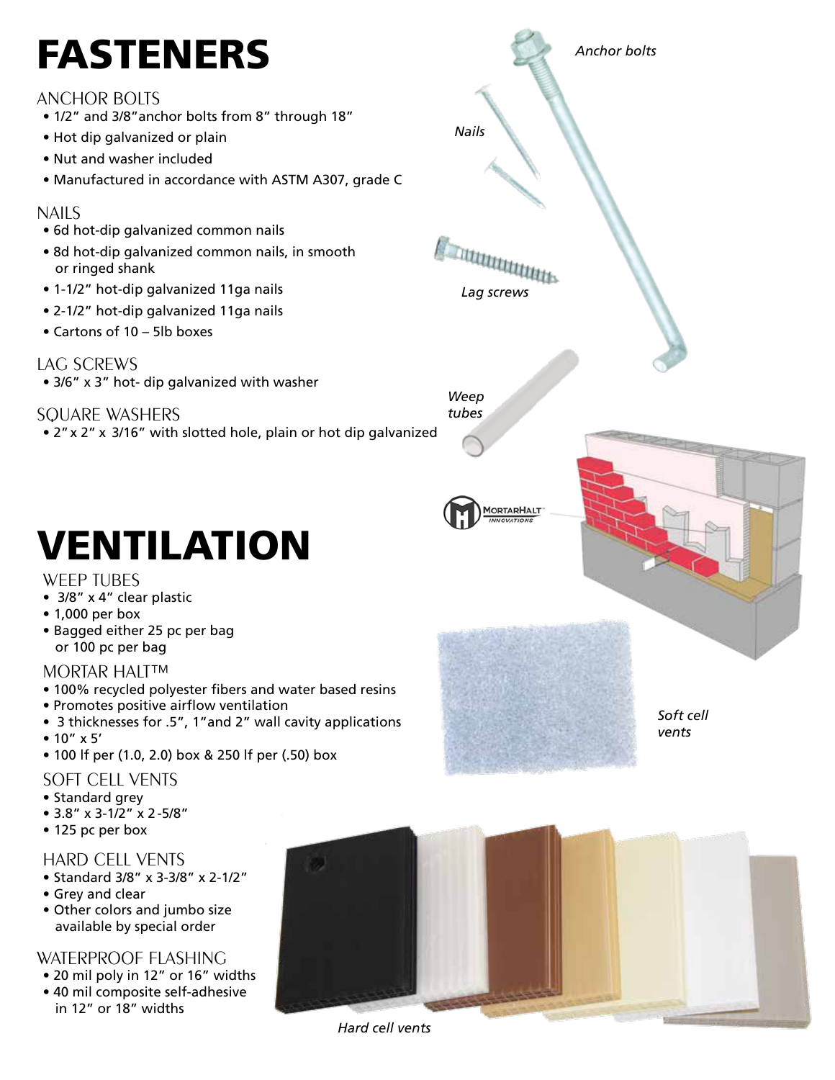# FASTENERS

#### ANCHOR BOLTS

- 1/2" and 3/8"anchor bolts from 8" through 18"
- Hot dip galvanized or plain
- Nut and washer included
- Manufactured in accordance with ASTM A307, grade C

#### NAILS

- 6d hot-dip galvanized common nails
- 8d hot-dip galvanized common nails, in smooth or ringed shank
- 1-1/2" hot-dip galvanized 11ga nails
- 2-1/2" hot-dip galvanized 11ga nails
- Cartons of 10 5lb boxes

#### LAG SCREWS

• 3/6" x 3" hot- dip galvanized with washer

SQUARE WASHERS

• 2" x 2" x 3/16" with slotted hole, plain or hot dip galvanized

# VENTILATION

#### WEEP TUBES

- 3/8" x 4" clear plastic
- 1,000 per box
- Bagged either 25 pc per bag or 100 pc per bag

#### MORTAR HALT™

- 100% recycled polyester fibers and water based resins
- Promotes positive airflow ventilation
- 3 thicknesses for .5", 1"and 2" wall cavity applications
- 10" x 5'
- 100 lf per (1.0, 2.0) box & 250 lf per (.50) box

#### SOFT CELL VENTS

- Standard grey
- 3.8" x 3-1/2" x 2 -5/8"
- 125 pc per box

#### HARD CELL VENTS

- Standard 3/8" x 3-3/8" x 2-1/2"
- Grey and clear
- Other colors and jumbo size available by special order

#### WATERPROOF FLASHING

- 20 mil poly in 12" or 16" widths
- 40 mil composite self-adhesive in 12" or 18" widths



*Anchor bolts*

*Nails*



*Hard cell vents*